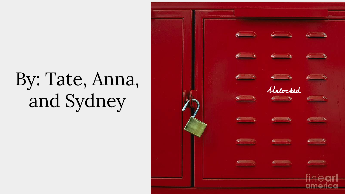## and Sydney

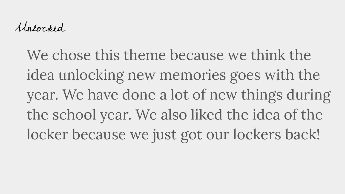Unlocked

We chose this theme because we think the idea unlocking new memories goes with the year. We have done a lot of new things during the school year. We also liked the idea of the locker because we just got our lockers back!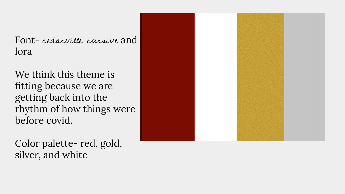Font- cedarville cursive and lora

We think this theme is fitting because we are getting back into the rhythm of how things were before covid.

Color palette- red, gold, silver, and white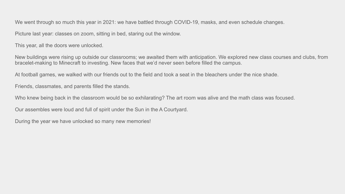We went through so much this year in 2021: we have battled through COVID-19, masks, and even schedule changes.

Picture last year: classes on zoom, sitting in bed, staring out the window.

This year, all the doors were unlocked.

New buildings were rising up outside our classrooms; we awaited them with anticipation. We explored new class courses and clubs, from bracelet-making to Minecraft to investing. New faces that we'd never seen before filled the campus.

At football games, we walked with our friends out to the field and took a seat in the bleachers under the nice shade.

Friends, classmates, and parents filled the stands.

Who knew being back in the classroom would be so exhilarating? The art room was alive and the math class was focused.

Our assembles were loud and full of spirit under the Sun in the A Courtyard.

During the year we have unlocked so many new memories!